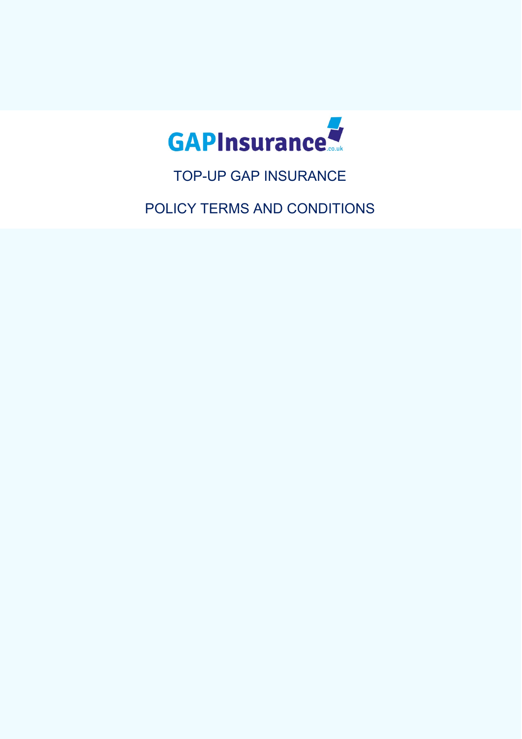

TOP-UP GAP INSURANCE

POLICY TERMS AND CONDITIONS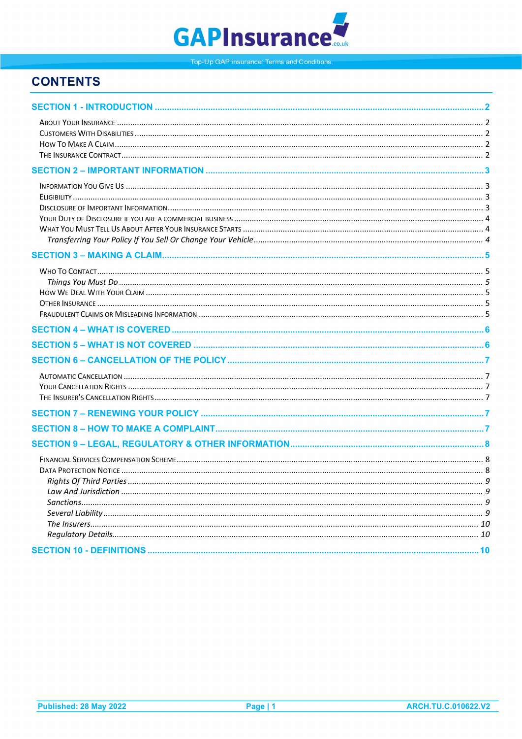

# **CONTENTS**

<span id="page-1-0"></span>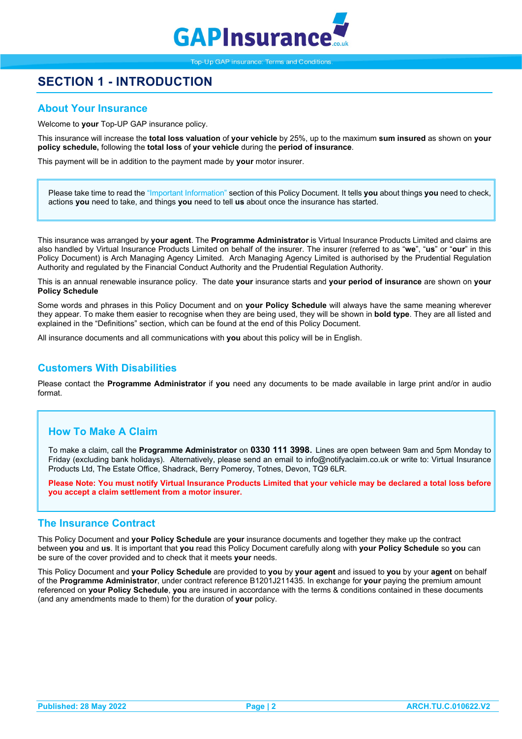

# **SECTION 1 - INTRODUCTION**

## <span id="page-2-0"></span>**About Your Insurance**

Welcome to **your** Top-UP GAP insurance policy.

This insurance will increase the **total loss valuation** of **your vehicle** by 25%, up to the maximum **sum insured** as shown on **your policy schedule,** following the **total loss** of **your vehicle** during the **period of insurance**.

This payment will be in addition to the payment made by **your** motor insurer.

Please take time to read the "Important Information" section of this Policy Document. It tells **you** about things **you** need to check, actions **you** need to take, and things **you** need to tell **us** about once the insurance has started.

This insurance was arranged by **your agent**. The **Programme Administrator** is Virtual Insurance Products Limited and claims are also handled by Virtual Insurance Products Limited on behalf of the insurer. The insurer (referred to as "**we**", "**us**" or "**our**" in this Policy Document) is Arch Managing Agency Limited. Arch Managing Agency Limited is authorised by the Prudential Regulation Authority and regulated by the Financial Conduct Authority and the Prudential Regulation Authority.

This is an annual renewable insurance policy. The date **your** insurance starts and **your period of insurance** are shown on **your Policy Schedule**

Some words and phrases in this Policy Document and on **your Policy Schedule** will always have the same meaning wherever they appear. To make them easier to recognise when they are being used, they will be shown in **bold type**. They are all listed and explained in the "Definitions" section, which can be found at the end of this Policy Document.

All insurance documents and all communications with **you** about this policy will be in English.

### <span id="page-2-1"></span>**Customers With Disabilities**

Please contact the **Programme Administrator** if **you** need any documents to be made available in large print and/or in audio format.

## <span id="page-2-2"></span>**How To Make A Claim**

To make a claim, call the **Programme Administrator** on **0330 111 3998**. Lines are open between 9am and 5pm Monday to Friday (excluding bank holidays). Alternatively, please send an email to info@notifyaclaim.co.uk or write to: Virtual Insurance Products Ltd, The Estate Office, Shadrack, Berry Pomeroy, Totnes, Devon, TQ9 6LR.

**Please Note: You must notify Virtual Insurance Products Limited that your vehicle may be declared a total loss before you accept a claim settlement from a motor insurer.**

### <span id="page-2-3"></span>**The Insurance Contract**

This Policy Document and **your Policy Schedule** are **your** insurance documents and together they make up the contract between **you** and **us**. It is important that **you** read this Policy Document carefully along with **your Policy Schedule** so **you** can be sure of the cover provided and to check that it meets **your** needs.

This Policy Document and **your Policy Schedule** are provided to **you** by **your agent** and issued to **you** by your **agent** on behalf of the **Programme Administrator**, under contract reference B1201J211435. In exchange for **your** paying the premium amount referenced on **your Policy Schedule**, **you** are insured in accordance with the terms & conditions contained in these documents (and any amendments made to them) for the duration of **your** policy.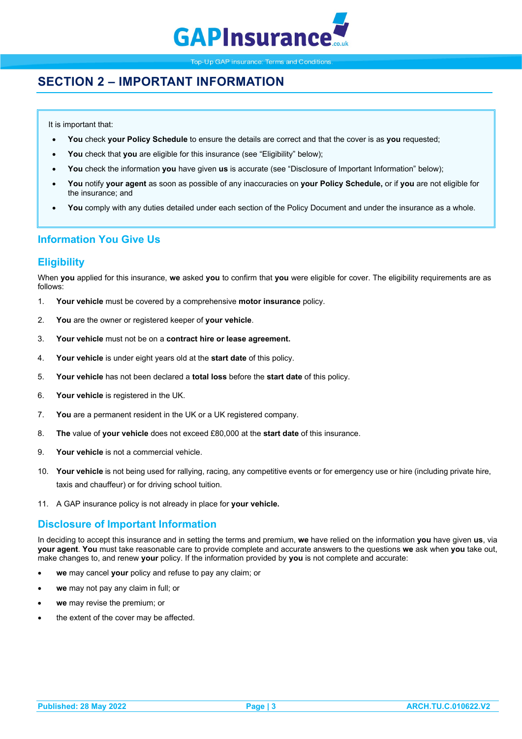

# <span id="page-3-0"></span>**SECTION 2 – IMPORTANT INFORMATION**

It is important that:

- **You** check **your Policy Schedule** to ensure the details are correct and that the cover is as **you** requested;
- **You** check that **you** are eligible for this insurance (see "Eligibility" below);
- **You** check the information **you** have given **us** is accurate (see "Disclosure of Important Information" below);
- **You** notify **your agent** as soon as possible of any inaccuracies on **your Policy Schedule,** or if **you** are not eligible for the insurance; and
- **You** comply with any duties detailed under each section of the Policy Document and under the insurance as a whole.

## <span id="page-3-1"></span>**Information You Give Us**

## <span id="page-3-2"></span>**Eligibility**

When **you** applied for this insurance, **we** asked **you** to confirm that **you** were eligible for cover. The eligibility requirements are as follows:

- 1. **Your vehicle** must be covered by a comprehensive **motor insurance** policy.
- 2. **You** are the owner or registered keeper of **your vehicle**.
- 3. **Your vehicle** must not be on a **contract hire or lease agreement.**
- 4. **Your vehicle** is under eight years old at the **start date** of this policy.
- 5. **Your vehicle** has not been declared a **total loss** before the **start date** of this policy.
- 6. **Your vehicle** is registered in the UK.
- 7. **You** are a permanent resident in the UK or a UK registered company.
- 8. **The** value of **your vehicle** does not exceed £80,000 at the **start date** of this insurance.
- 9. **Your vehicle** is not a commercial vehicle.
- 10. **Your vehicle** is not being used for rallying, racing, any competitive events or for emergency use or hire (including private hire, taxis and chauffeur) or for driving school tuition.
- 11. A GAP insurance policy is not already in place for **your vehicle.**

## <span id="page-3-3"></span>**Disclosure of Important Information**

In deciding to accept this insurance and in setting the terms and premium, **we** have relied on the information **you** have given **us**, via **your agent**. **You** must take reasonable care to provide complete and accurate answers to the questions **we** ask when **you** take out, make changes to, and renew **your** policy. If the information provided by **you** is not complete and accurate:

- **we** may cancel **your** policy and refuse to pay any claim; or
- **we** may not pay any claim in full; or
- **we** may revise the premium; or
- the extent of the cover may be affected.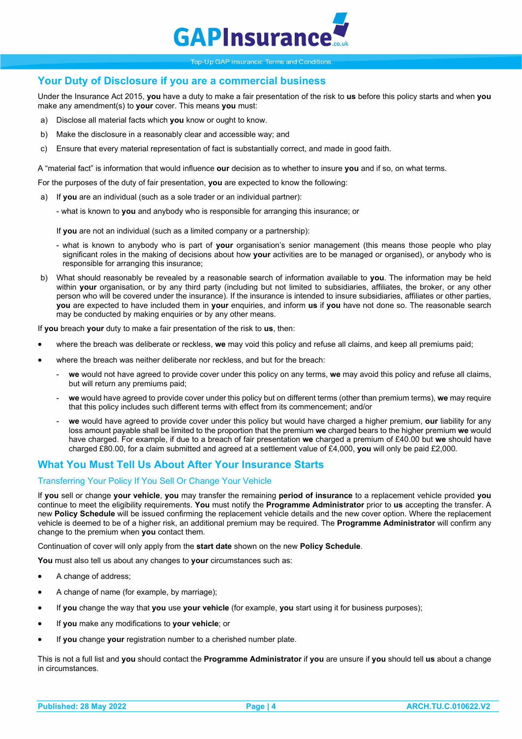

## <span id="page-4-0"></span>**Your Duty of Disclosure if you are a commercial business**

Under the Insurance Act 2015, **you** have a duty to make a fair presentation of the risk to **us** before this policy starts and when **you**  make any amendment(s) to **your** cover. This means **you** must:

- a) Disclose all material facts which **you** know or ought to know.
- b) Make the disclosure in a reasonably clear and accessible way; and
- c) Ensure that every material representation of fact is substantially correct, and made in good faith.

A "material fact" is information that would influence **our** decision as to whether to insure **you** and if so, on what terms.

- For the purposes of the duty of fair presentation, **you** are expected to know the following:
- a) If **you** are an individual (such as a sole trader or an individual partner):
	- what is known to **you** and anybody who is responsible for arranging this insurance; or

If **you** are not an individual (such as a limited company or a partnership):

- what is known to anybody who is part of **your** organisation's senior management (this means those people who play significant roles in the making of decisions about how **your** activities are to be managed or organised), or anybody who is responsible for arranging this insurance;
- b) What should reasonably be revealed by a reasonable search of information available to **you**. The information may be held within **your** organisation, or by any third party (including but not limited to subsidiaries, affiliates, the broker, or any other person who will be covered under the insurance). If the insurance is intended to insure subsidiaries, affiliates or other parties, **you** are expected to have included them in **your** enquiries, and inform **us** if **you** have not done so. The reasonable search may be conducted by making enquiries or by any other means.

If **you** breach **your** duty to make a fair presentation of the risk to **us**, then:

- where the breach was deliberate or reckless, **we** may void this policy and refuse all claims, and keep all premiums paid;
- where the breach was neither deliberate nor reckless, and but for the breach:
	- **we** would not have agreed to provide cover under this policy on any terms, **we** may avoid this policy and refuse all claims, but will return any premiums paid;
	- **we** would have agreed to provide cover under this policy but on different terms (other than premium terms), **we** may require that this policy includes such different terms with effect from its commencement; and/or
	- we would have agreed to provide cover under this policy but would have charged a higher premium, **our** liability for any loss amount payable shall be limited to the proportion that the premium **we** charged bears to the higher premium **we** would have charged. For example, if due to a breach of fair presentation **we** charged a premium of £40.00 but **we** should have charged £80.00, for a claim submitted and agreed at a settlement value of £4,000, **you** will only be paid £2,000*.*

## <span id="page-4-1"></span>**What You Must Tell Us About After Your Insurance Starts**

### <span id="page-4-2"></span>Transferring Your Policy If You Sell Or Change Your Vehicle

If **you** sell or change **your vehicle**, **you** may transfer the remaining **period of insurance** to a replacement vehicle provided **you** continue to meet the eligibility requirements. **You** must notify the **Programme Administrator** prior to **us** accepting the transfer. A new **Policy Schedule** will be issued confirming the replacement vehicle details and the new cover option. Where the replacement vehicle is deemed to be of a higher risk, an additional premium may be required. The **Programme Administrator** will confirm any change to the premium when **you** contact them.

Continuation of cover will only apply from the **start date** shown on the new **Policy Schedule**.

**You** must also tell us about any changes to **your** circumstances such as:

- A change of address:
- A change of name (for example, by marriage);
- If **you** change the way that **you** use **your vehicle** (for example, **you** start using it for business purposes);
- If **you** make any modifications to **your vehicle**; or
- If **you** change **your** registration number to a cherished number plate.

This is not a full list and **you** should contact the **Programme Administrator** if **you** are unsure if **you** should tell **us** about a change in circumstances.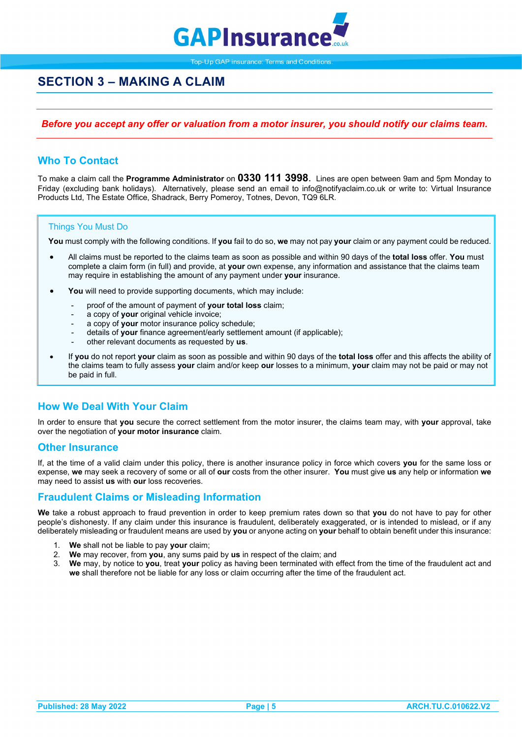

# <span id="page-5-0"></span>**SECTION 3 – MAKING A CLAIM**

### *Before you accept any offer or valuation from a motor insurer, you should notify our claims team.*

## <span id="page-5-1"></span>**Who To Contact**

To make a claim call the **Programme Administrator** on **0330 111 3998**. Lines are open between 9am and 5pm Monday to Friday (excluding bank holidays). Alternatively, please send an email to info@notifyaclaim.co.uk or write to: Virtual Insurance Products Ltd, The Estate Office, Shadrack, Berry Pomeroy, Totnes, Devon, TQ9 6LR.

### <span id="page-5-2"></span>Things You Must Do

**You** must comply with the following conditions. If **you** fail to do so, **we** may not pay **your** claim or any payment could be reduced.

- All claims must be reported to the claims team as soon as possible and within 90 days of the **total loss** offer. **You** must complete a claim form (in full) and provide, at **your** own expense, any information and assistance that the claims team may require in establishing the amount of any payment under **your** insurance.
- You will need to provide supporting documents, which may include:
	- proof of the amount of payment of **your total loss** claim;
	- a copy of **your** original vehicle invoice;
	- a copy of **your** motor insurance policy schedule;
	- details of your finance agreement/early settlement amount (if applicable);
	- other relevant documents as requested by **us**.
- If **you** do not report **your** claim as soon as possible and within 90 days of the **total loss** offer and this affects the ability of the claims team to fully assess **your** claim and/or keep **our** losses to a minimum, **your** claim may not be paid or may not be paid in full.

## <span id="page-5-3"></span>**How We Deal With Your Claim**

In order to ensure that **you** secure the correct settlement from the motor insurer, the claims team may, with **your** approval, take over the negotiation of **your motor insurance** claim.

### <span id="page-5-4"></span>**Other Insurance**

If, at the time of a valid claim under this policy, there is another insurance policy in force which covers **you** for the same loss or expense, **we** may seek a recovery of some or all of **our** costs from the other insurer. **You** must give **us** any help or information **we** may need to assist **us** with **our** loss recoveries.

### <span id="page-5-5"></span>**Fraudulent Claims or Misleading Information**

**We** take a robust approach to fraud prevention in order to keep premium rates down so that **you** do not have to pay for other people's dishonesty. If any claim under this insurance is fraudulent, deliberately exaggerated, or is intended to mislead, or if any deliberately misleading or fraudulent means are used by **you** or anyone acting on **your** behalf to obtain benefit under this insurance:

- <span id="page-5-6"></span>1. **We** shall not be liable to pay **your** claim;
- 2. **We** may recover, from **you**, any sums paid by **us** in respect of the claim; and
- 3. **We** may, by notice to **you**, treat **your** policy as having been terminated with effect from the time of the fraudulent act and **we** shall therefore not be liable for any loss or claim occurring after the time of the fraudulent act.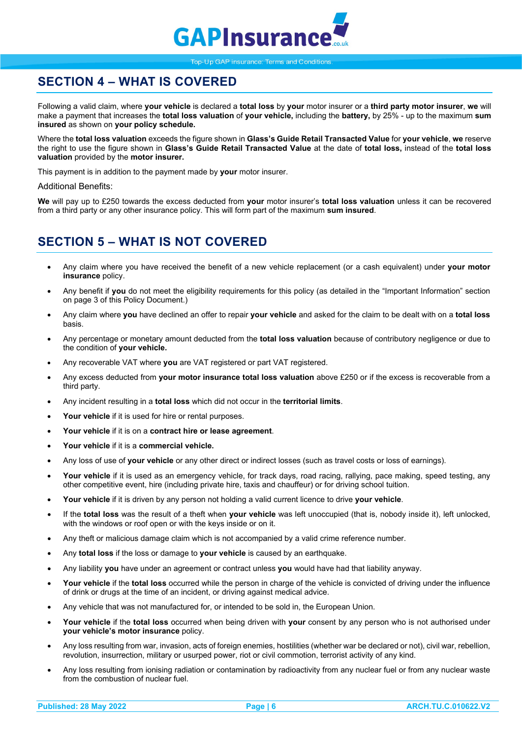

# **SECTION 4 – WHAT IS COVERED**

Following a valid claim, where **your vehicle** is declared a **total loss** by **your** motor insurer or a **third party motor insurer**, **we** will make a payment that increases the **total loss valuation** of **your vehicle,** including the **battery,** by 25% - up to the maximum **sum insured** as shown on **your policy schedule.**

Where the **total loss valuation** exceeds the figure shown in **Glass's Guide Retail Transacted Value** for **your vehicle**, **we** reserve the right to use the figure shown in **Glass's Guide Retail Transacted Value** at the date of **total loss,** instead of the **total loss valuation** provided by the **motor insurer.**

This payment is in addition to the payment made by **your** motor insurer.

### Additional Benefits:

**We** will pay up to £250 towards the excess deducted from **your** motor insurer's **total loss valuation** unless it can be recovered from a third party or any other insurance policy. This will form part of the maximum **sum insured**.

# <span id="page-6-0"></span>**SECTION 5 – WHAT IS NOT COVERED**

- Any claim where you have received the benefit of a new vehicle replacement (or a cash equivalent) under **your motor insurance** policy.
- Any benefit if **you** do not meet the eligibility requirements for this policy (as detailed in the "Important Information" section on page 3 of this Policy Document.)
- Any claim where **you** have declined an offer to repair **your vehicle** and asked for the claim to be dealt with on a **total loss** basis.
- Any percentage or monetary amount deducted from the **total loss valuation** because of contributory negligence or due to the condition of **your vehicle.**
- Any recoverable VAT where **you** are VAT registered or part VAT registered.
- Any excess deducted from **your motor insurance total loss valuation** above £250 or if the excess is recoverable from a third party.
- Any incident resulting in a **total loss** which did not occur in the **territorial limits**.
- Your vehicle if it is used for hire or rental purposes.
- **Your vehicle** if it is on a **contract hire or lease agreement**.
- **Your vehicle** if it is a **commercial vehicle.**
- Any loss of use of **your vehicle** or any other direct or indirect losses (such as travel costs or loss of earnings).
- Your vehicle if it is used as an emergency vehicle, for track days, road racing, rallying, pace making, speed testing, any other competitive event, hire (including private hire, taxis and chauffeur) or for driving school tuition.
- **Your vehicle** if it is driven by any person not holding a valid current licence to drive **your vehicle**.
- If the **total loss** was the result of a theft when **your vehicle** was left unoccupied (that is, nobody inside it), left unlocked, with the windows or roof open or with the keys inside or on it.
- Any theft or malicious damage claim which is not accompanied by a valid crime reference number.
- Any **total loss** if the loss or damage to **your vehicle** is caused by an earthquake.
- Any liability **you** have under an agreement or contract unless **you** would have had that liability anyway.
- **Your vehicle** if the **total loss** occurred while the person in charge of the vehicle is convicted of driving under the influence of drink or drugs at the time of an incident, or driving against medical advice.
- Any vehicle that was not manufactured for, or intended to be sold in, the European Union.
- **Your vehicle** if the **total loss** occurred when being driven with **your** consent by any person who is not authorised under **your vehicle's motor insurance** policy.
- Any loss resulting from war, invasion, acts of foreign enemies, hostilities (whether war be declared or not), civil war, rebellion, revolution, insurrection, military or usurped power, riot or civil commotion, terrorist activity of any kind.
- Any loss resulting from ionising radiation or contamination by radioactivity from any nuclear fuel or from any nuclear waste from the combustion of nuclear fuel.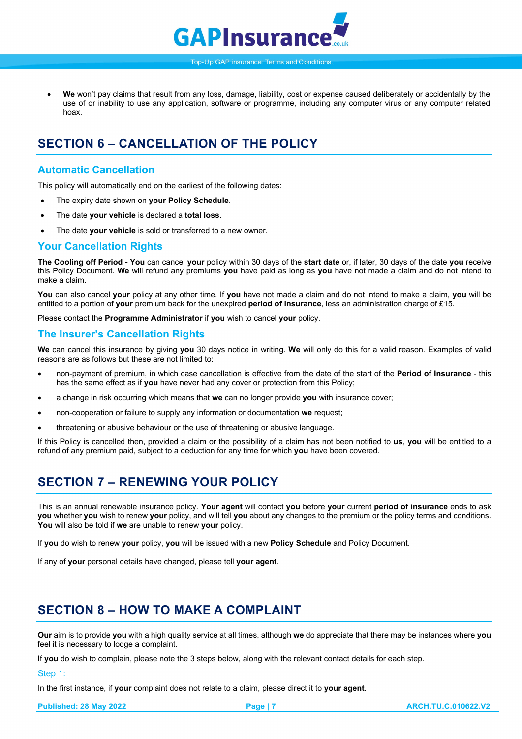

• **We** won't pay claims that result from any loss, damage, liability, cost or expense caused deliberately or accidentally by the use of or inability to use any application, software or programme, including any computer virus or any computer related hoax.

# <span id="page-7-0"></span>**SECTION 6 – CANCELLATION OF THE POLICY**

## <span id="page-7-1"></span>**Automatic Cancellation**

This policy will automatically end on the earliest of the following dates:

- The expiry date shown on **your Policy Schedule**.
- The date **your vehicle** is declared a **total loss**.
- The date **your vehicle** is sold or transferred to a new owner.

### <span id="page-7-2"></span>**Your Cancellation Rights**

**The Cooling off Period - You** can cancel **your** policy within 30 days of the **start date** or, if later, 30 days of the date **you** receive this Policy Document. **We** will refund any premiums **you** have paid as long as **you** have not made a claim and do not intend to make a claim.

**You** can also cancel **your** policy at any other time. If **you** have not made a claim and do not intend to make a claim, **you** will be entitled to a portion of **your** premium back for the unexpired **period of insurance**, less an administration charge of £15.

Please contact the **Programme Administrator** if **you** wish to cancel **your** policy.

### <span id="page-7-3"></span>**The Insurer's Cancellation Rights**

**We** can cancel this insurance by giving **you** 30 days notice in writing. **We** will only do this for a valid reason. Examples of valid reasons are as follows but these are not limited to:

- non-payment of premium, in which case cancellation is effective from the date of the start of the **Period of Insurance** this has the same effect as if **you** have never had any cover or protection from this Policy;
- a change in risk occurring which means that **we** can no longer provide **you** with insurance cover;
- non-cooperation or failure to supply any information or documentation **we** request;
- threatening or abusive behaviour or the use of threatening or abusive language.

If this Policy is cancelled then, provided a claim or the possibility of a claim has not been notified to **us**, **you** will be entitled to a refund of any premium paid, subject to a deduction for any time for which **you** have been covered.

# <span id="page-7-4"></span>**SECTION 7 – RENEWING YOUR POLICY**

This is an annual renewable insurance policy. **Your agent** will contact **you** before **your** current **period of insurance** ends to ask **you** whether **you** wish to renew **your** policy, and will tell **you** about any changes to the premium or the policy terms and conditions. **You** will also be told if **we** are unable to renew **your** policy.

If **you** do wish to renew **your** policy, **you** will be issued with a new **Policy Schedule** and Policy Document.

<span id="page-7-5"></span>If any of **your** personal details have changed, please tell **your agent**.

# **SECTION 8 – HOW TO MAKE A COMPLAINT**

**Our** aim is to provide **you** with a high quality service at all times, although **we** do appreciate that there may be instances where **you** feel it is necessary to lodge a complaint.

If **you** do wish to complain, please note the 3 steps below, along with the relevant contact details for each step.

Step 1:

In the first instance, if **your** complaint does not relate to a claim, please direct it to **your agent**.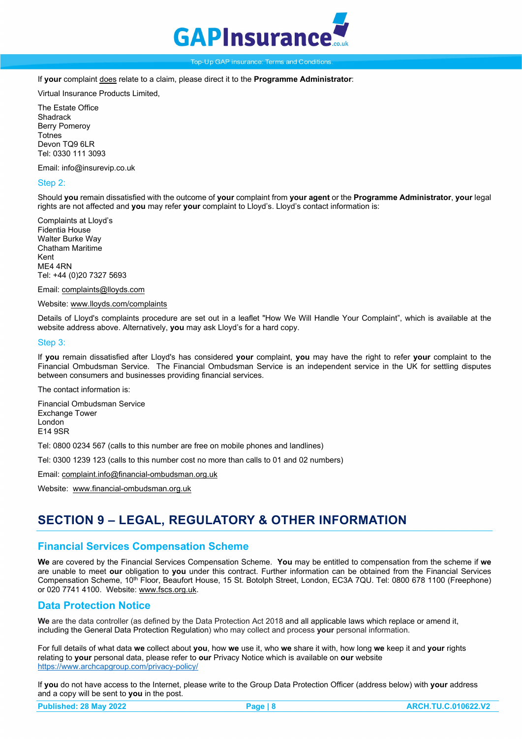

If **your** complaint does relate to a claim, please direct it to the **Programme Administrator**:

Virtual Insurance Products Limited,

The Estate Office **Shadrack** Berry Pomeroy **Totnes** Devon TO<sub>9</sub> 6LR Tel: 0330 111 3093

Email: info@insurevip.co.uk

### Step 2:

Should **you** remain dissatisfied with the outcome of **your** complaint from **your agent** or the **Programme Administrator**, **your** legal rights are not affected and **you** may refer **your** complaint to Lloyd's. Lloyd's contact information is:

Complaints at Lloyd's Fidentia House Walter Burke Way Chatham Maritime Kent ME4 4RN Tel: +44 (0)20 7327 5693

Email[: complaints@lloyds.com](mailto:complaints@lloyds.com)

#### Website[: www.lloyds.com/complaints](http://www.lloyds.com/complaints)

Details of Lloyd's complaints procedure are set out in a leaflet "How We Will Handle Your Complaint", which is available at the website address above. Alternatively, **you** may ask Lloyd's for a hard copy.

#### Step 3:

If **you** remain dissatisfied after Lloyd's has considered **your** complaint, **you** may have the right to refer **your** complaint to the Financial Ombudsman Service. The Financial Ombudsman Service is an independent service in the UK for settling disputes between consumers and businesses providing financial services.

The contact information is:

Financial Ombudsman Service Exchange Tower London E14 9SR

Tel: 0800 0234 567 (calls to this number are free on mobile phones and landlines)

Tel: 0300 1239 123 (calls to this number cost no more than calls to 01 and 02 numbers)

Email[: complaint.info@financial-ombudsman.org.uk](mailto:complaint.info@financial-ombudsman.org.uk)

Website: [www.financial-ombudsman.org.uk](http://www.financial-ombudsman.org.uk/)

## <span id="page-8-0"></span>**SECTION 9 – LEGAL, REGULATORY & OTHER INFORMATION**

### <span id="page-8-1"></span>**Financial Services Compensation Scheme**

**We** are covered by the Financial Services Compensation Scheme. **You** may be entitled to compensation from the scheme if **we**  are unable to meet **our** obligation to **you** under this contract. Further information can be obtained from the Financial Services Compensation Scheme, 10th Floor, Beaufort House, 15 St. Botolph Street, London, EC3A 7QU. Tel: 0800 678 1100 (Freephone) or 020 7741 4100. Website[: www.fscs.org.uk.](http://www.fscs.org.uk/)

### <span id="page-8-2"></span>**Data Protection Notice**

We are the data controller (as defined by the Data Protection Act 2018 and all applicable laws which replace or amend it. including the General Data Protection Regulation) who may collect and process **your** personal information.

For full details of what data **we** collect about **you**, how **we** use it, who **we** share it with, how long **we** keep it and **your** rights relating to **your** personal data, please refer to **our** Privacy Notice which is available on **our** website <https://www.archcapgroup.com/privacy-policy/>

If **you** do not have access to the Internet, please write to the Group Data Protection Officer (address below) with **your** address and a copy will be sent to **you** in the post.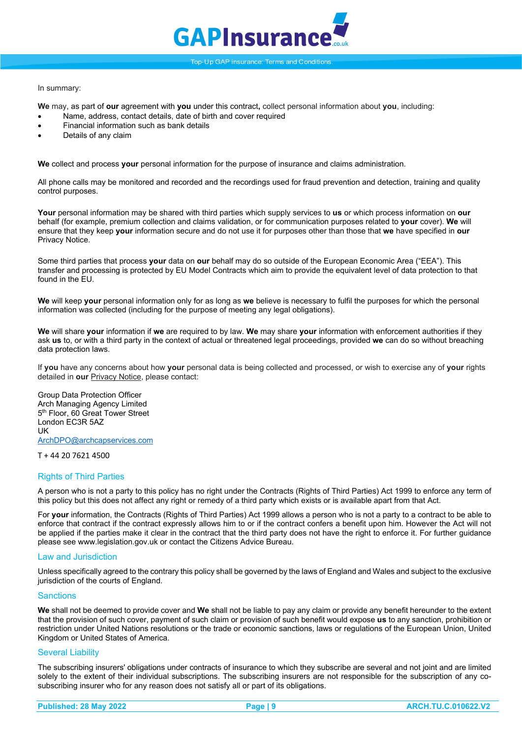

#### In summary:

**We** may, as part of **our** agreement with **you** under this contract**,** collect personal information about **you**, including:

- Name, address, contact details, date of birth and cover required
- Financial information such as bank details
- Details of any claim

**We** collect and process **your** personal information for the purpose of insurance and claims administration.

All phone calls may be monitored and recorded and the recordings used for fraud prevention and detection, training and quality control purposes.

**Your** personal information may be shared with third parties which supply services to **us** or which process information on **our** behalf (for example, premium collection and claims validation, or for communication purposes related to **your** cover). **We** will ensure that they keep **your** information secure and do not use it for purposes other than those that **we** have specified in **our** Privacy Notice.

Some third parties that process **your** data on **our** behalf may do so outside of the European Economic Area ("EEA"). This transfer and processing is protected by EU Model Contracts which aim to provide the equivalent level of data protection to that found in the EU.

**We** will keep **your** personal information only for as long as **we** believe is necessary to fulfil the purposes for which the personal information was collected (including for the purpose of meeting any legal obligations).

**We** will share **your** information if **we** are required to by law. **We** may share **your** information with enforcement authorities if they ask **us** to, or with a third party in the context of actual or threatened legal proceedings, provided **we** can do so without breaching data protection laws.

If **you** have any concerns about how **your** personal data is being collected and processed, or wish to exercise any of **your** rights detailed in **our** Privacy Notice, please contact:

Group Data Protection Officer Arch Managing Agency Limited 5<sup>th</sup> Floor, 60 Great Tower Street London EC3R 5AZ **IK** [ArchDPO@archcapservices.com](mailto:ArchDPO@archcapservices.com)

T + 44 20 7621 4500

#### <span id="page-9-0"></span>Rights of Third Parties

A person who is not a party to this policy has no right under the Contracts (Rights of Third Parties) Act 1999 to enforce any term of this policy but this does not affect any right or remedy of a third party which exists or is available apart from that Act.

For **your** information, the Contracts (Rights of Third Parties) Act 1999 allows a person who is not a party to a contract to be able to enforce that contract if the contract expressly allows him to or if the contract confers a benefit upon him. However the Act will not be applied if the parties make it clear in the contract that the third party does not have the right to enforce it. For further guidance please see www.legislation.gov.uk or contact the Citizens Advice Bureau.

### <span id="page-9-1"></span>Law and Jurisdiction

Unless specifically agreed to the contrary this policy shall be governed by the laws of England and Wales and subject to the exclusive jurisdiction of the courts of England.

#### <span id="page-9-2"></span>**Sanctions**

**We** shall not be deemed to provide cover and **We** shall not be liable to pay any claim or provide any benefit hereunder to the extent that the provision of such cover, payment of such claim or provision of such benefit would expose **us** to any sanction, prohibition or restriction under United Nations resolutions or the trade or economic sanctions, laws or regulations of the European Union, United Kingdom or United States of America.

#### <span id="page-9-3"></span>Several Liability

The subscribing insurers' obligations under contracts of insurance to which they subscribe are several and not joint and are limited solely to the extent of their individual subscriptions. The subscribing insurers are not responsible for the subscription of any cosubscribing insurer who for any reason does not satisfy all or part of its obligations.